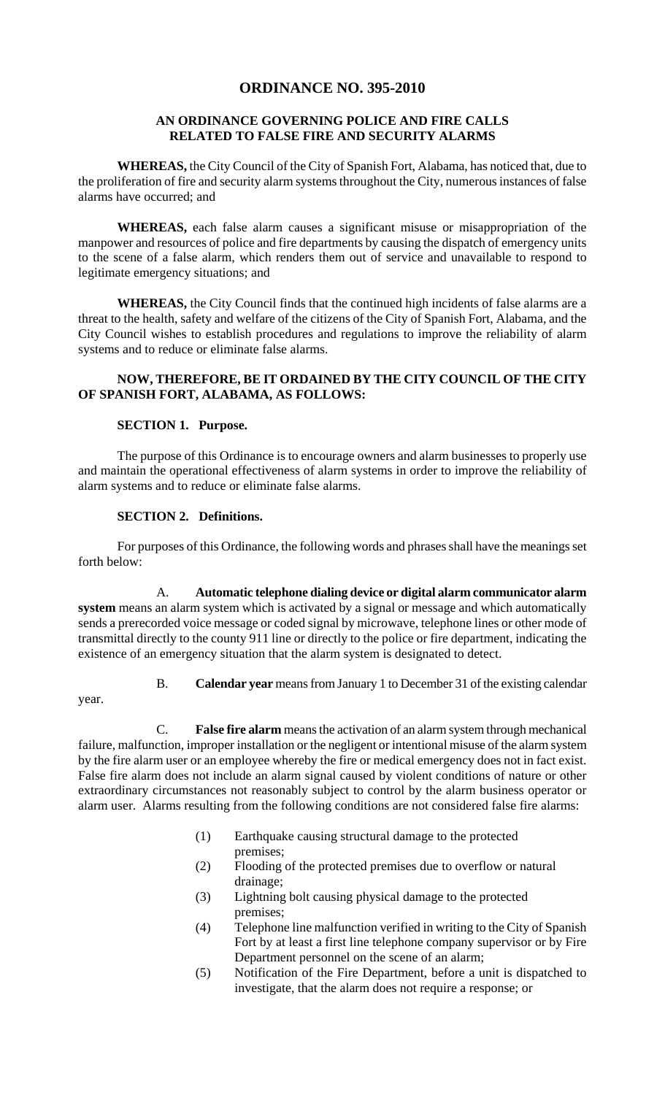## **ORDINANCE NO. 395-2010**

## **AN ORDINANCE GOVERNING POLICE AND FIRE CALLS RELATED TO FALSE FIRE AND SECURITY ALARMS**

**WHEREAS,** the City Council of the City of Spanish Fort, Alabama, has noticed that, due to the proliferation of fire and security alarm systems throughout the City, numerous instances of false alarms have occurred; and

**WHEREAS,** each false alarm causes a significant misuse or misappropriation of the manpower and resources of police and fire departments by causing the dispatch of emergency units to the scene of a false alarm, which renders them out of service and unavailable to respond to legitimate emergency situations; and

**WHEREAS,** the City Council finds that the continued high incidents of false alarms are a threat to the health, safety and welfare of the citizens of the City of Spanish Fort, Alabama, and the City Council wishes to establish procedures and regulations to improve the reliability of alarm systems and to reduce or eliminate false alarms.

## **NOW, THEREFORE, BE IT ORDAINED BY THE CITY COUNCIL OF THE CITY OF SPANISH FORT, ALABAMA, AS FOLLOWS:**

#### **SECTION 1. Purpose.**

The purpose of this Ordinance is to encourage owners and alarm businesses to properly use and maintain the operational effectiveness of alarm systems in order to improve the reliability of alarm systems and to reduce or eliminate false alarms.

#### **SECTION 2. Definitions.**

For purposes of this Ordinance, the following words and phrases shall have the meanings set forth below:

A. **Automatic telephone dialing device or digital alarm communicator alarm system** means an alarm system which is activated by a signal or message and which automatically sends a prerecorded voice message or coded signal by microwave, telephone lines or other mode of transmittal directly to the county 911 line or directly to the police or fire department, indicating the existence of an emergency situation that the alarm system is designated to detect.

year.

B. **Calendar year** means from January 1 to December 31 of the existing calendar

C. **False fire alarm** means the activation of an alarm system through mechanical failure, malfunction, improper installation or the negligent or intentional misuse of the alarm system by the fire alarm user or an employee whereby the fire or medical emergency does not in fact exist. False fire alarm does not include an alarm signal caused by violent conditions of nature or other extraordinary circumstances not reasonably subject to control by the alarm business operator or alarm user. Alarms resulting from the following conditions are not considered false fire alarms:

- (1) Earthquake causing structural damage to the protected premises;
- (2) Flooding of the protected premises due to overflow or natural drainage;
- (3) Lightning bolt causing physical damage to the protected premises;
- (4) Telephone line malfunction verified in writing to the City of Spanish Fort by at least a first line telephone company supervisor or by Fire Department personnel on the scene of an alarm;
- (5) Notification of the Fire Department, before a unit is dispatched to investigate, that the alarm does not require a response; or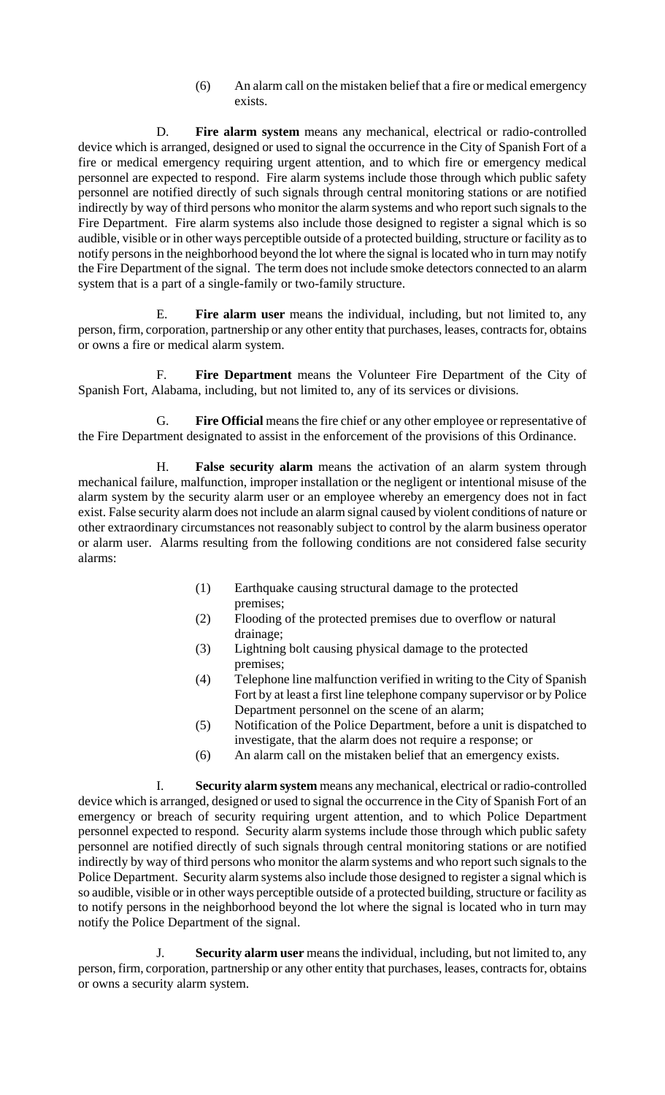(6) An alarm call on the mistaken belief that a fire or medical emergency exists.

D. **Fire alarm system** means any mechanical, electrical or radio-controlled device which is arranged, designed or used to signal the occurrence in the City of Spanish Fort of a fire or medical emergency requiring urgent attention, and to which fire or emergency medical personnel are expected to respond. Fire alarm systems include those through which public safety personnel are notified directly of such signals through central monitoring stations or are notified indirectly by way of third persons who monitor the alarm systems and who report such signals to the Fire Department. Fire alarm systems also include those designed to register a signal which is so audible, visible or in other ways perceptible outside of a protected building, structure or facility as to notify persons in the neighborhood beyond the lot where the signal is located who in turn may notify the Fire Department of the signal. The term does not include smoke detectors connected to an alarm system that is a part of a single-family or two-family structure.

E. **Fire alarm user** means the individual, including, but not limited to, any person, firm, corporation, partnership or any other entity that purchases, leases, contracts for, obtains or owns a fire or medical alarm system.

F. **Fire Department** means the Volunteer Fire Department of the City of Spanish Fort, Alabama, including, but not limited to, any of its services or divisions.

G. **Fire Official** means the fire chief or any other employee or representative of the Fire Department designated to assist in the enforcement of the provisions of this Ordinance.

H. **False security alarm** means the activation of an alarm system through mechanical failure, malfunction, improper installation or the negligent or intentional misuse of the alarm system by the security alarm user or an employee whereby an emergency does not in fact exist. False security alarm does not include an alarm signal caused by violent conditions of nature or other extraordinary circumstances not reasonably subject to control by the alarm business operator or alarm user. Alarms resulting from the following conditions are not considered false security alarms:

- (1) Earthquake causing structural damage to the protected premises;
- (2) Flooding of the protected premises due to overflow or natural drainage;
- (3) Lightning bolt causing physical damage to the protected premises;
- (4) Telephone line malfunction verified in writing to the City of Spanish Fort by at least a first line telephone company supervisor or by Police Department personnel on the scene of an alarm;
- (5) Notification of the Police Department, before a unit is dispatched to investigate, that the alarm does not require a response; or
- (6) An alarm call on the mistaken belief that an emergency exists.

I. **Security alarm system** means any mechanical, electrical or radio-controlled device which is arranged, designed or used to signal the occurrence in the City of Spanish Fort of an emergency or breach of security requiring urgent attention, and to which Police Department personnel expected to respond. Security alarm systems include those through which public safety personnel are notified directly of such signals through central monitoring stations or are notified indirectly by way of third persons who monitor the alarm systems and who report such signals to the Police Department. Security alarm systems also include those designed to register a signal which is so audible, visible or in other ways perceptible outside of a protected building, structure or facility as to notify persons in the neighborhood beyond the lot where the signal is located who in turn may notify the Police Department of the signal.

J. **Security alarm user** means the individual, including, but not limited to, any person, firm, corporation, partnership or any other entity that purchases, leases, contracts for, obtains or owns a security alarm system.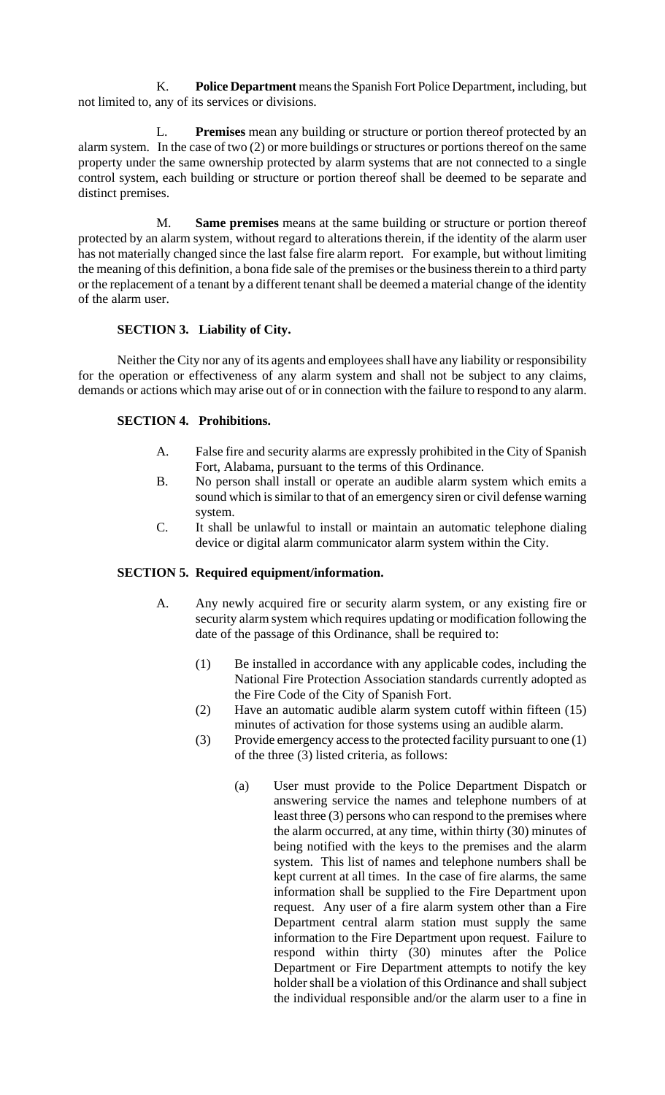K. **Police Department** means the Spanish Fort Police Department, including, but not limited to, any of its services or divisions.

L. **Premises** mean any building or structure or portion thereof protected by an alarm system. In the case of two (2) or more buildings or structures or portions thereof on the same property under the same ownership protected by alarm systems that are not connected to a single control system, each building or structure or portion thereof shall be deemed to be separate and distinct premises.

M. **Same premises** means at the same building or structure or portion thereof protected by an alarm system, without regard to alterations therein, if the identity of the alarm user has not materially changed since the last false fire alarm report. For example, but without limiting the meaning of this definition, a bona fide sale of the premises or the business therein to a third party or the replacement of a tenant by a different tenant shall be deemed a material change of the identity of the alarm user.

# **SECTION 3. Liability of City.**

Neither the City nor any of its agents and employees shall have any liability or responsibility for the operation or effectiveness of any alarm system and shall not be subject to any claims, demands or actions which may arise out of or in connection with the failure to respond to any alarm.

# **SECTION 4. Prohibitions.**

- A. False fire and security alarms are expressly prohibited in the City of Spanish Fort, Alabama, pursuant to the terms of this Ordinance.
- B. No person shall install or operate an audible alarm system which emits a sound which is similar to that of an emergency siren or civil defense warning system.
- C. It shall be unlawful to install or maintain an automatic telephone dialing device or digital alarm communicator alarm system within the City.

## **SECTION 5. Required equipment/information.**

- A. Any newly acquired fire or security alarm system, or any existing fire or security alarm system which requires updating or modification following the date of the passage of this Ordinance, shall be required to:
	- (1) Be installed in accordance with any applicable codes, including the National Fire Protection Association standards currently adopted as the Fire Code of the City of Spanish Fort.
	- (2) Have an automatic audible alarm system cutoff within fifteen (15) minutes of activation for those systems using an audible alarm.
	- (3) Provide emergency access to the protected facility pursuant to one (1) of the three (3) listed criteria, as follows:
		- (a) User must provide to the Police Department Dispatch or answering service the names and telephone numbers of at least three (3) persons who can respond to the premises where the alarm occurred, at any time, within thirty (30) minutes of being notified with the keys to the premises and the alarm system. This list of names and telephone numbers shall be kept current at all times. In the case of fire alarms, the same information shall be supplied to the Fire Department upon request. Any user of a fire alarm system other than a Fire Department central alarm station must supply the same information to the Fire Department upon request. Failure to respond within thirty (30) minutes after the Police Department or Fire Department attempts to notify the key holder shall be a violation of this Ordinance and shall subject the individual responsible and/or the alarm user to a fine in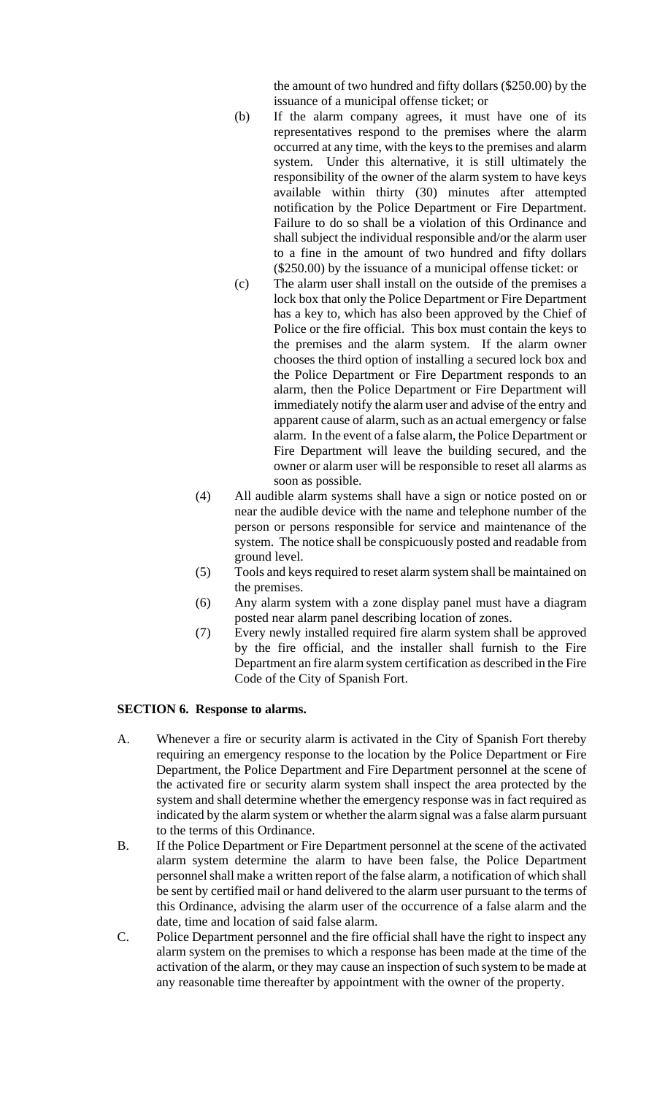the amount of two hundred and fifty dollars (\$250.00) by the issuance of a municipal offense ticket; or

- (b) If the alarm company agrees, it must have one of its representatives respond to the premises where the alarm occurred at any time, with the keys to the premises and alarm system. Under this alternative, it is still ultimately the responsibility of the owner of the alarm system to have keys available within thirty (30) minutes after attempted notification by the Police Department or Fire Department. Failure to do so shall be a violation of this Ordinance and shall subject the individual responsible and/or the alarm user to a fine in the amount of two hundred and fifty dollars (\$250.00) by the issuance of a municipal offense ticket: or
- (c) The alarm user shall install on the outside of the premises a lock box that only the Police Department or Fire Department has a key to, which has also been approved by the Chief of Police or the fire official. This box must contain the keys to the premises and the alarm system. If the alarm owner chooses the third option of installing a secured lock box and the Police Department or Fire Department responds to an alarm, then the Police Department or Fire Department will immediately notify the alarm user and advise of the entry and apparent cause of alarm, such as an actual emergency or false alarm. In the event of a false alarm, the Police Department or Fire Department will leave the building secured, and the owner or alarm user will be responsible to reset all alarms as soon as possible.
- (4) All audible alarm systems shall have a sign or notice posted on or near the audible device with the name and telephone number of the person or persons responsible for service and maintenance of the system. The notice shall be conspicuously posted and readable from ground level.
- (5) Tools and keys required to reset alarm system shall be maintained on the premises.
- (6) Any alarm system with a zone display panel must have a diagram posted near alarm panel describing location of zones.
- (7) Every newly installed required fire alarm system shall be approved by the fire official, and the installer shall furnish to the Fire Department an fire alarm system certification as described in the Fire Code of the City of Spanish Fort.

## **SECTION 6. Response to alarms.**

- A. Whenever a fire or security alarm is activated in the City of Spanish Fort thereby requiring an emergency response to the location by the Police Department or Fire Department, the Police Department and Fire Department personnel at the scene of the activated fire or security alarm system shall inspect the area protected by the system and shall determine whether the emergency response was in fact required as indicated by the alarm system or whether the alarm signal was a false alarm pursuant to the terms of this Ordinance.
- B. If the Police Department or Fire Department personnel at the scene of the activated alarm system determine the alarm to have been false, the Police Department personnel shall make a written report of the false alarm, a notification of which shall be sent by certified mail or hand delivered to the alarm user pursuant to the terms of this Ordinance, advising the alarm user of the occurrence of a false alarm and the date, time and location of said false alarm.
- C. Police Department personnel and the fire official shall have the right to inspect any alarm system on the premises to which a response has been made at the time of the activation of the alarm, or they may cause an inspection of such system to be made at any reasonable time thereafter by appointment with the owner of the property.